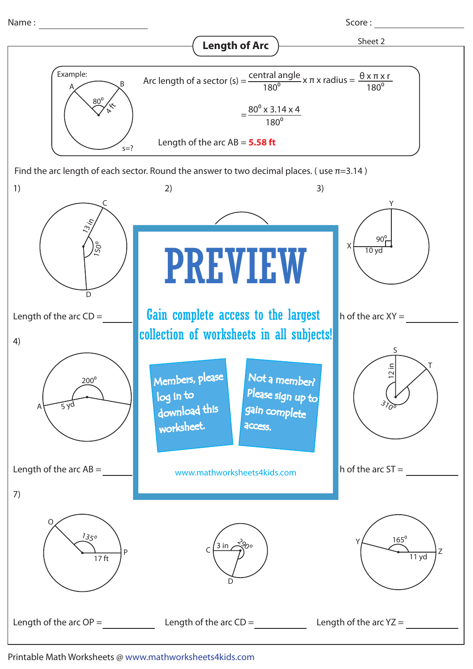